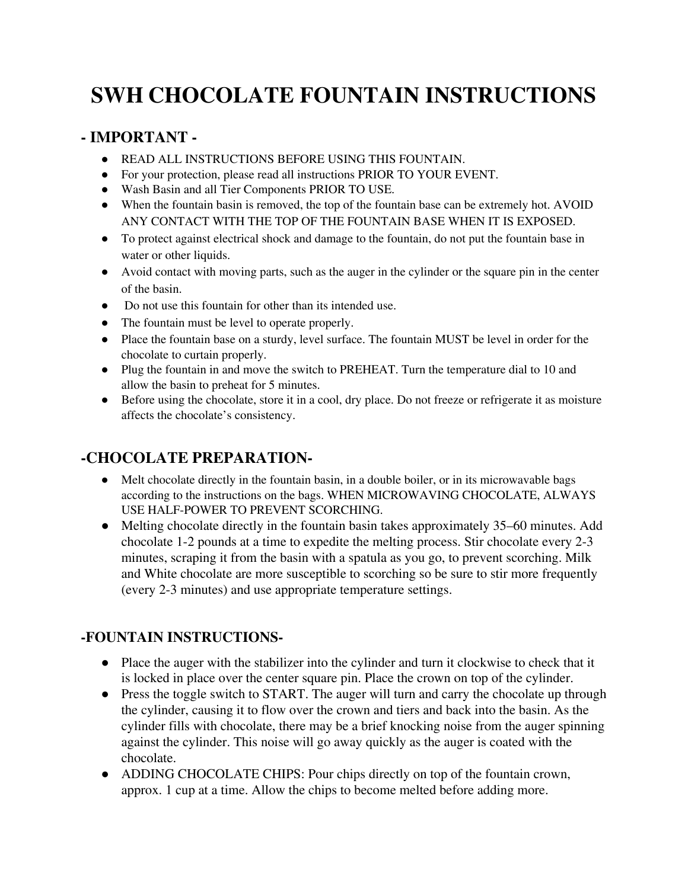# **SWH CHOCOLATE FOUNTAIN INSTRUCTIONS**

## **- IMPORTANT -**

- READ ALL INSTRUCTIONS BEFORE USING THIS FOUNTAIN.
- For your protection, please read all instructions PRIOR TO YOUR EVENT.
- Wash Basin and all Tier Components PRIOR TO USE.
- When the fountain basin is removed, the top of the fountain base can be extremely hot. AVOID ANY CONTACT WITH THE TOP OF THE FOUNTAIN BASE WHEN IT IS EXPOSED.
- To protect against electrical shock and damage to the fountain, do not put the fountain base in water or other liquids.
- Avoid contact with moving parts, such as the auger in the cylinder or the square pin in the center of the basin.
- Do not use this fountain for other than its intended use.
- The fountain must be level to operate properly.
- Place the fountain base on a sturdy, level surface. The fountain MUST be level in order for the chocolate to curtain properly.
- Plug the fountain in and move the switch to PREHEAT. Turn the temperature dial to 10 and allow the basin to preheat for 5 minutes.
- Before using the chocolate, store it in a cool, dry place. Do not freeze or refrigerate it as moisture affects the chocolate's consistency.

## **-CHOCOLATE PREPARATION-**

- Melt chocolate directly in the fountain basin, in a double boiler, or in its microwavable bags according to the instructions on the bags. WHEN MICROWAVING CHOCOLATE, ALWAYS USE HALF-POWER TO PREVENT SCORCHING.
- Melting chocolate directly in the fountain basin takes approximately 35–60 minutes. Add chocolate 1-2 pounds at a time to expedite the melting process. Stir chocolate every 2-3 minutes, scraping it from the basin with a spatula as you go, to prevent scorching. Milk and White chocolate are more susceptible to scorching so be sure to stir more frequently (every 2-3 minutes) and use appropriate temperature settings.

#### **-FOUNTAIN INSTRUCTIONS-**

- Place the auger with the stabilizer into the cylinder and turn it clockwise to check that it is locked in place over the center square pin. Place the crown on top of the cylinder.
- Press the toggle switch to START. The auger will turn and carry the chocolate up through the cylinder, causing it to flow over the crown and tiers and back into the basin. As the cylinder fills with chocolate, there may be a brief knocking noise from the auger spinning against the cylinder. This noise will go away quickly as the auger is coated with the chocolate.
- ADDING CHOCOLATE CHIPS: Pour chips directly on top of the fountain crown, approx. 1 cup at a time. Allow the chips to become melted before adding more.